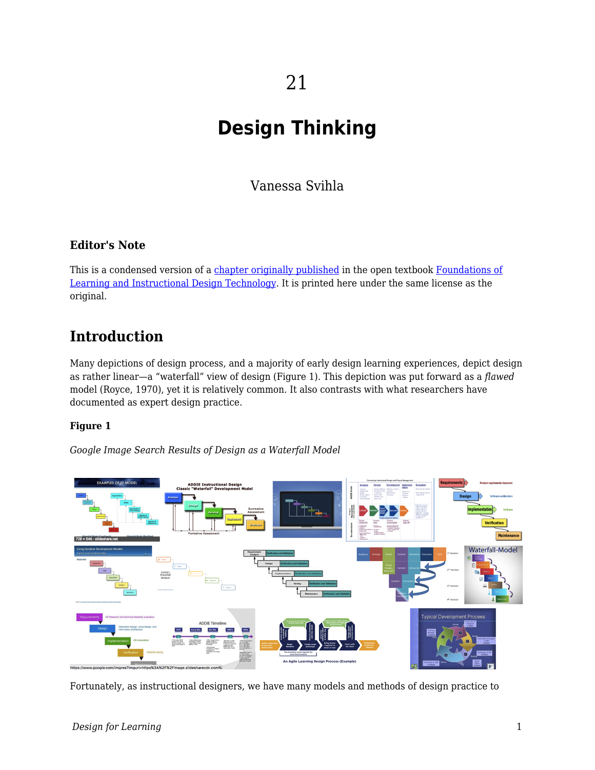# **Design Thinking**

Vanessa Svihla

### **Editor's Note**

This is a condensed version of a [chapter originally published](https://edtechbooks.org/lidtfoundations/design_thinking_and_agile_design) in the open textbook [Foundations of](https://edtechbooks.org/lidtfoundations) [Learning and Instructional Design Technology](https://edtechbooks.org/lidtfoundations). It is printed here under the same license as the original.

## **Introduction**

Many depictions of design process, and a majority of early design learning experiences, depict design as rather linear—a "waterfall" view of design (Figure 1). This depiction was put forward as a *flawed* model (Royce, 1970), yet it is relatively common. It also contrasts with what researchers have documented as expert design practice.

#### **Figure 1**

*Google Image Search Results of Design as a Waterfall Model*



Fortunately, as instructional designers, we have many models and methods of design practice to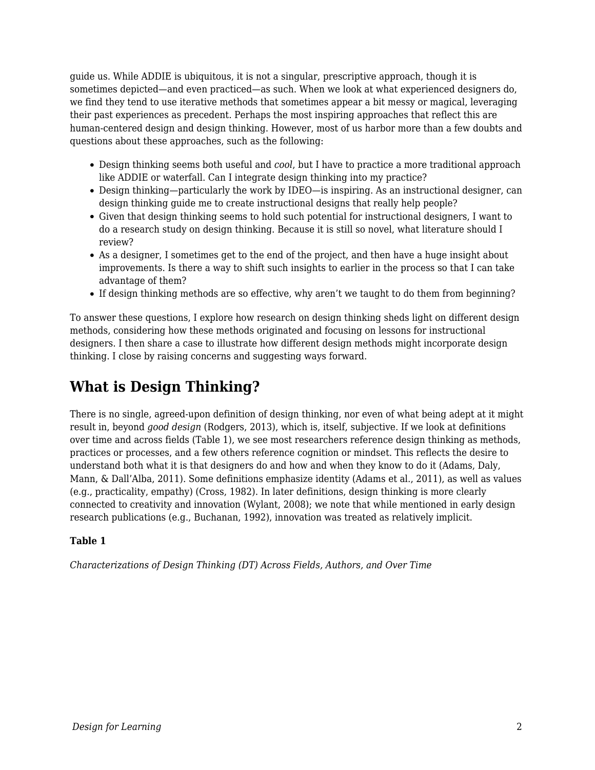guide us. While ADDIE is ubiquitous, it is not a singular, prescriptive approach, though it is sometimes depicted—and even practiced—as such. When we look at what experienced designers do, we find they tend to use iterative methods that sometimes appear a bit messy or magical, leveraging their past experiences as precedent. Perhaps the most inspiring approaches that reflect this are human-centered design and design thinking. However, most of us harbor more than a few doubts and questions about these approaches, such as the following:

- Design thinking seems both useful and *cool*, but I have to practice a more traditional approach like ADDIE or waterfall. Can I integrate design thinking into my practice?
- Design thinking—particularly the work by IDEO—is inspiring. As an instructional designer, can design thinking guide me to create instructional designs that really help people?
- Given that design thinking seems to hold such potential for instructional designers, I want to do a research study on design thinking. Because it is still so novel, what literature should I review?
- As a designer, I sometimes get to the end of the project, and then have a huge insight about improvements. Is there a way to shift such insights to earlier in the process so that I can take advantage of them?
- If design thinking methods are so effective, why aren't we taught to do them from beginning?

To answer these questions, I explore how research on design thinking sheds light on different design methods, considering how these methods originated and focusing on lessons for instructional designers. I then share a case to illustrate how different design methods might incorporate design thinking. I close by raising concerns and suggesting ways forward.

## **What is Design Thinking?**

There is no single, agreed-upon definition of design thinking, nor even of what being adept at it might result in, beyond *good design* (Rodgers, 2013), which is, itself, subjective. If we look at definitions over time and across fields (Table 1), we see most researchers reference design thinking as methods, practices or processes, and a few others reference cognition or mindset. This reflects the desire to understand both what it is that designers do and how and when they know to do it (Adams, Daly, Mann, & Dall'Alba, 2011). Some definitions emphasize identity (Adams et al., 2011), as well as values (e.g., practicality, empathy) (Cross, 1982). In later definitions, design thinking is more clearly connected to creativity and innovation (Wylant, 2008); we note that while mentioned in early design research publications (e.g., Buchanan, 1992), innovation was treated as relatively implicit.

#### **Table 1**

*Characterizations of Design Thinking (DT) Across Fields, Authors, and Over Time*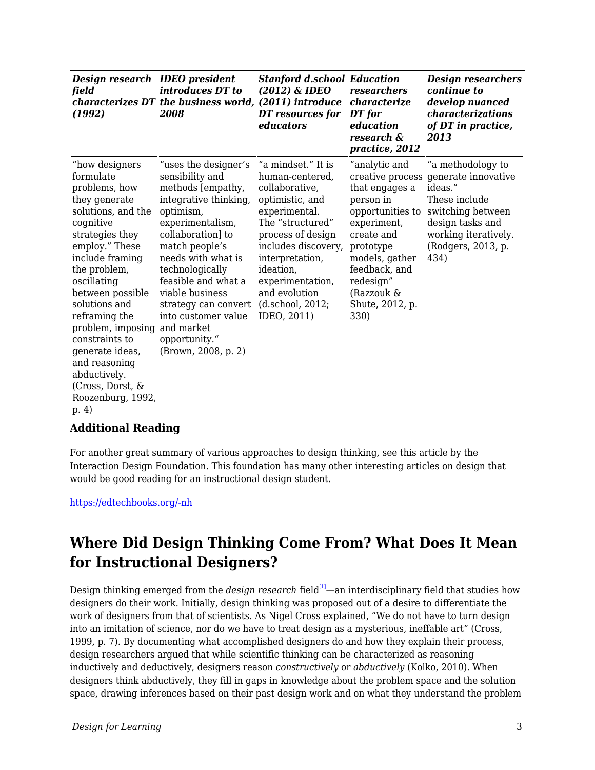| Design research IDEO president<br>field<br>(1992)                                                                                                                                                                                                                                                                                                                                           | <i>introduces DT to</i><br>characterizes DT the business world, (2011) introduce<br>2008                                                                                                                                                                                                                                                              | <b>Stanford d.school Education</b><br>(2012) & IDEO<br>DT resources for<br>educators                                                                                                                                                                                | researchers<br>characterize<br>DT for<br>education<br>research &<br>practice, 2012                                                                                                                                      | <b>Design researchers</b><br>continue to<br>develop nuanced<br>characterizations<br>of DT in practice,<br>2013                                                      |
|---------------------------------------------------------------------------------------------------------------------------------------------------------------------------------------------------------------------------------------------------------------------------------------------------------------------------------------------------------------------------------------------|-------------------------------------------------------------------------------------------------------------------------------------------------------------------------------------------------------------------------------------------------------------------------------------------------------------------------------------------------------|---------------------------------------------------------------------------------------------------------------------------------------------------------------------------------------------------------------------------------------------------------------------|-------------------------------------------------------------------------------------------------------------------------------------------------------------------------------------------------------------------------|---------------------------------------------------------------------------------------------------------------------------------------------------------------------|
| "how designers"<br>formulate<br>problems, how<br>they generate<br>solutions, and the<br>cognitive<br>strategies they<br>employ." These<br>include framing<br>the problem,<br>oscillating<br>between possible<br>solutions and<br>reframing the<br>problem, imposing<br>constraints to<br>generate ideas,<br>and reasoning<br>abductively.<br>(Cross, Dorst, &<br>Roozenburg, 1992,<br>p. 4) | "uses the designer's<br>sensibility and<br>methods [empathy,<br>integrative thinking,<br>optimism,<br>experimentalism,<br>collaboration] to<br>match people's<br>needs with what is<br>technologically<br>feasible and what a<br>viable business<br>strategy can convert<br>into customer value<br>and market<br>opportunity."<br>(Brown, 2008, p. 2) | "a mindset." It is<br>human-centered.<br>collaborative,<br>optimistic, and<br>experimental.<br>The "structured"<br>process of design<br>includes discovery,<br>interpretation,<br>ideation,<br>experimentation,<br>and evolution<br>(d.school, 2012;<br>IDEO, 2011) | "analytic and<br>creative process<br>that engages a<br>person in<br>opportunities to<br>experiment,<br>create and<br>prototype<br>models, gather<br>feedback, and<br>redesign"<br>(Razzouk &<br>Shute, 2012, p.<br>330) | "a methodology to<br>generate innovative<br>ideas."<br>These include<br>switching between<br>design tasks and<br>working iteratively.<br>(Rodgers, 2013, p.<br>434) |

### **Additional Reading**

For another great summary of various approaches to design thinking, see this article by the Interaction Design Foundation. This foundation has many other interesting articles on design that would be good reading for an instructional design student.

[https://edtechbooks.org/-nh](https://www.interaction-design.org/literature/article/design-thinking-a-quick-overview)

## **Where Did Design Thinking Come From? What Does It Mean for Instructional Designers?**

Design thinking emerged from the *design research* field<sup>[\[1\]](#page--1-0)</sup>—an interdisciplinary field that studies how designers do their work. Initially, design thinking was proposed out of a desire to differentiate the work of designers from that of scientists. As Nigel Cross explained, "We do not have to turn design into an imitation of science, nor do we have to treat design as a mysterious, ineffable art" (Cross, 1999, p. 7). By documenting what accomplished designers do and how they explain their process, design researchers argued that while scientific thinking can be characterized as reasoning inductively and deductively, designers reason *constructively* or *abductively* (Kolko, 2010). When designers think abductively, they fill in gaps in knowledge about the problem space and the solution space, drawing inferences based on their past design work and on what they understand the problem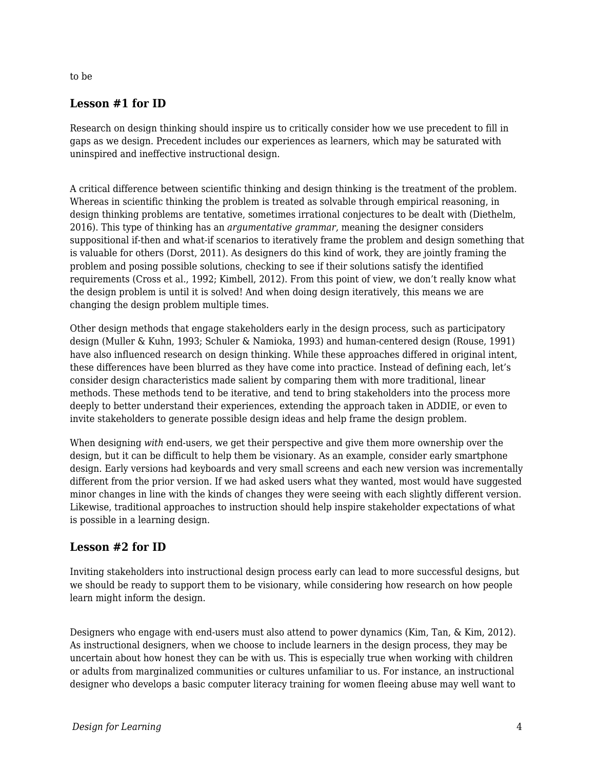#### to be

### **Lesson #1 for ID**

Research on design thinking should inspire us to critically consider how we use precedent to fill in gaps as we design. Precedent includes our experiences as learners, which may be saturated with uninspired and ineffective instructional design.

A critical difference between scientific thinking and design thinking is the treatment of the problem. Whereas in scientific thinking the problem is treated as solvable through empirical reasoning, in design thinking problems are tentative, sometimes irrational conjectures to be dealt with (Diethelm, 2016). This type of thinking has an *argumentative grammar,* meaning the designer considers suppositional if-then and what-if scenarios to iteratively frame the problem and design something that is valuable for others (Dorst, 2011). As designers do this kind of work, they are jointly framing the problem and posing possible solutions, checking to see if their solutions satisfy the identified requirements (Cross et al., 1992; Kimbell, 2012). From this point of view, we don't really know what the design problem is until it is solved! And when doing design iteratively, this means we are changing the design problem multiple times.

Other design methods that engage stakeholders early in the design process, such as participatory design (Muller & Kuhn, 1993; Schuler & Namioka, 1993) and human-centered design (Rouse, 1991) have also influenced research on design thinking. While these approaches differed in original intent, these differences have been blurred as they have come into practice. Instead of defining each, let's consider design characteristics made salient by comparing them with more traditional, linear methods. These methods tend to be iterative, and tend to bring stakeholders into the process more deeply to better understand their experiences, extending the approach taken in ADDIE, or even to invite stakeholders to generate possible design ideas and help frame the design problem.

When designing *with* end-users, we get their perspective and give them more ownership over the design, but it can be difficult to help them be visionary. As an example, consider early smartphone design. Early versions had keyboards and very small screens and each new version was incrementally different from the prior version. If we had asked users what they wanted, most would have suggested minor changes in line with the kinds of changes they were seeing with each slightly different version. Likewise, traditional approaches to instruction should help inspire stakeholder expectations of what is possible in a learning design.

## **Lesson #2 for ID**

Inviting stakeholders into instructional design process early can lead to more successful designs, but we should be ready to support them to be visionary, while considering how research on how people learn might inform the design.

Designers who engage with end-users must also attend to power dynamics (Kim, Tan, & Kim, 2012). As instructional designers, when we choose to include learners in the design process, they may be uncertain about how honest they can be with us. This is especially true when working with children or adults from marginalized communities or cultures unfamiliar to us. For instance, an instructional designer who develops a basic computer literacy training for women fleeing abuse may well want to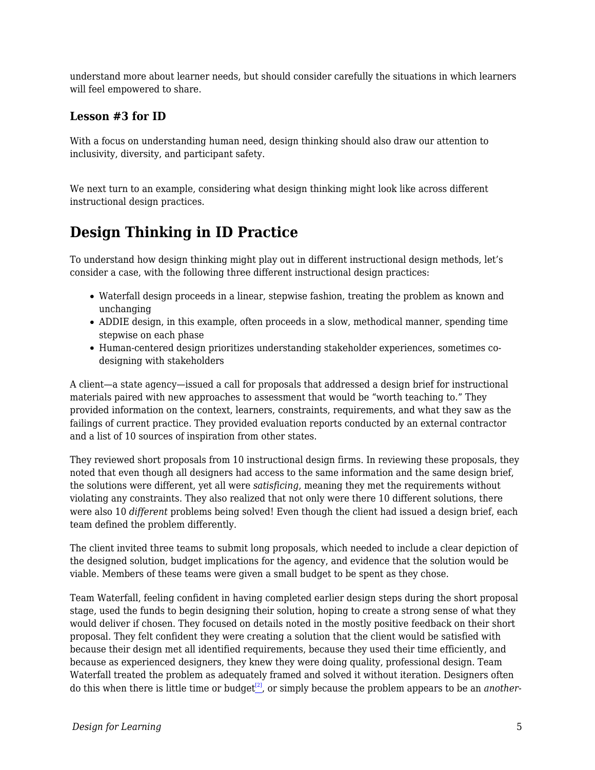understand more about learner needs, but should consider carefully the situations in which learners will feel empowered to share.

### **Lesson #3 for ID**

With a focus on understanding human need, design thinking should also draw our attention to inclusivity, diversity, and participant safety.

We next turn to an example, considering what design thinking might look like across different instructional design practices.

## **Design Thinking in ID Practice**

To understand how design thinking might play out in different instructional design methods, let's consider a case, with the following three different instructional design practices:

- Waterfall design proceeds in a linear, stepwise fashion, treating the problem as known and unchanging
- ADDIE design, in this example, often proceeds in a slow, methodical manner, spending time stepwise on each phase
- Human-centered design prioritizes understanding stakeholder experiences, sometimes codesigning with stakeholders

A client—a state agency—issued a call for proposals that addressed a design brief for instructional materials paired with new approaches to assessment that would be "worth teaching to." They provided information on the context, learners, constraints, requirements, and what they saw as the failings of current practice. They provided evaluation reports conducted by an external contractor and a list of 10 sources of inspiration from other states.

They reviewed short proposals from 10 instructional design firms. In reviewing these proposals, they noted that even though all designers had access to the same information and the same design brief, the solutions were different, yet all were *satisficing*, meaning they met the requirements without violating any constraints. They also realized that not only were there 10 different solutions, there were also 10 *different* problems being solved! Even though the client had issued a design brief, each team defined the problem differently.

The client invited three teams to submit long proposals, which needed to include a clear depiction of the designed solution, budget implications for the agency, and evidence that the solution would be viable. Members of these teams were given a small budget to be spent as they chose.

Team Waterfall, feeling confident in having completed earlier design steps during the short proposal stage, used the funds to begin designing their solution, hoping to create a strong sense of what they would deliver if chosen. They focused on details noted in the mostly positive feedback on their short proposal. They felt confident they were creating a solution that the client would be satisfied with because their design met all identified requirements, because they used their time efficiently, and because as experienced designers, they knew they were doing quality, professional design. Team Waterfall treated the problem as adequately framed and solved it without iteration. Designers often do this when there is little time or budget[\[2\]](#page--1-0), or simply because the problem appears to be an *another-*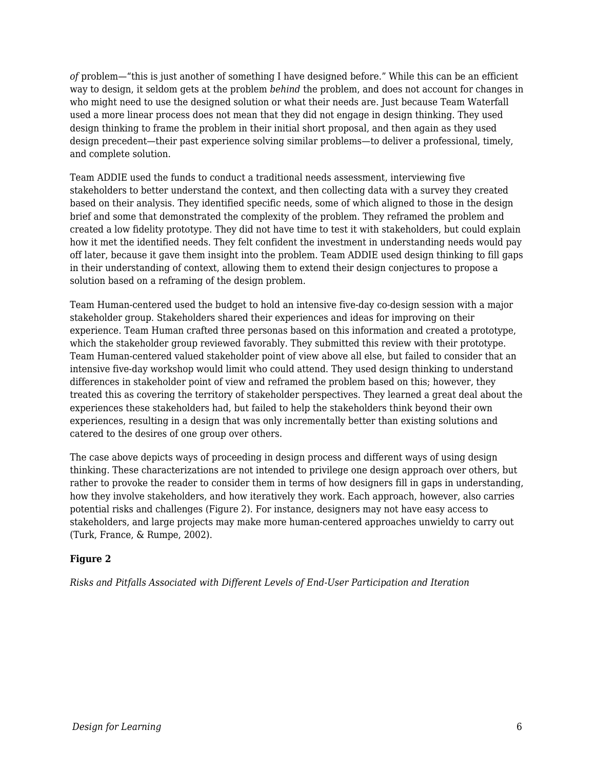*of* problem—"this is just another of something I have designed before." While this can be an efficient way to design, it seldom gets at the problem *behind* the problem, and does not account for changes in who might need to use the designed solution or what their needs are. Just because Team Waterfall used a more linear process does not mean that they did not engage in design thinking. They used design thinking to frame the problem in their initial short proposal, and then again as they used design precedent—their past experience solving similar problems—to deliver a professional, timely, and complete solution.

Team ADDIE used the funds to conduct a traditional needs assessment, interviewing five stakeholders to better understand the context, and then collecting data with a survey they created based on their analysis. They identified specific needs, some of which aligned to those in the design brief and some that demonstrated the complexity of the problem. They reframed the problem and created a low fidelity prototype. They did not have time to test it with stakeholders, but could explain how it met the identified needs. They felt confident the investment in understanding needs would pay off later, because it gave them insight into the problem. Team ADDIE used design thinking to fill gaps in their understanding of context, allowing them to extend their design conjectures to propose a solution based on a reframing of the design problem.

Team Human-centered used the budget to hold an intensive five-day co-design session with a major stakeholder group. Stakeholders shared their experiences and ideas for improving on their experience. Team Human crafted three personas based on this information and created a prototype, which the stakeholder group reviewed favorably. They submitted this review with their prototype. Team Human-centered valued stakeholder point of view above all else, but failed to consider that an intensive five-day workshop would limit who could attend. They used design thinking to understand differences in stakeholder point of view and reframed the problem based on this; however, they treated this as covering the territory of stakeholder perspectives. They learned a great deal about the experiences these stakeholders had, but failed to help the stakeholders think beyond their own experiences, resulting in a design that was only incrementally better than existing solutions and catered to the desires of one group over others.

The case above depicts ways of proceeding in design process and different ways of using design thinking. These characterizations are not intended to privilege one design approach over others, but rather to provoke the reader to consider them in terms of how designers fill in gaps in understanding, how they involve stakeholders, and how iteratively they work. Each approach, however, also carries potential risks and challenges (Figure 2). For instance, designers may not have easy access to stakeholders, and large projects may make more human-centered approaches unwieldy to carry out (Turk, France, & Rumpe, 2002).

#### **Figure 2**

*Risks and Pitfalls Associated with Different Levels of End-User Participation and Iteration*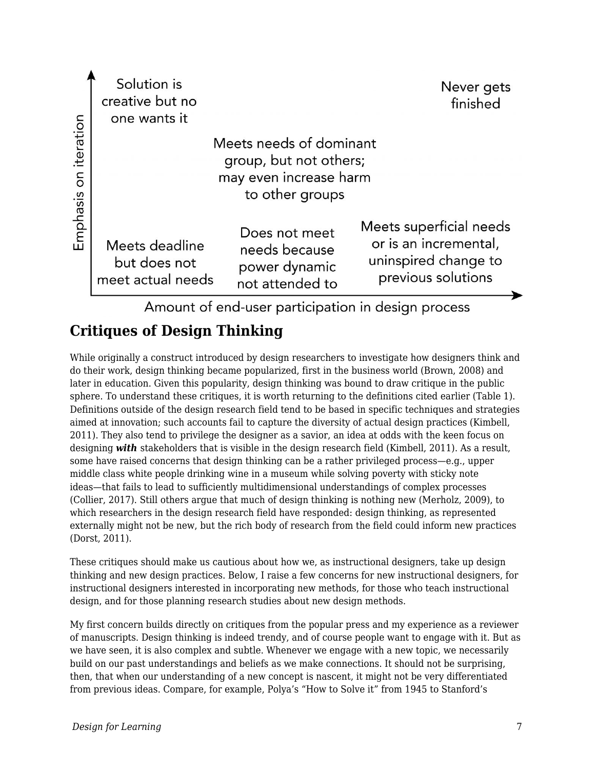|                | Solution is<br>creative but no<br>one wants it      |                                                                                                | Never gets<br>finished                                                                         |  |  |  |  |  |
|----------------|-----------------------------------------------------|------------------------------------------------------------------------------------------------|------------------------------------------------------------------------------------------------|--|--|--|--|--|
| iteration<br>5 |                                                     | Meets needs of dominant<br>group, but not others;<br>may even increase harm<br>to other groups |                                                                                                |  |  |  |  |  |
| Emphasis       | Meets deadline<br>but does not<br>meet actual needs | Does not meet<br>needs because<br>power dynamic<br>not attended to                             | Meets superficial needs<br>or is an incremental,<br>uninspired change to<br>previous solutions |  |  |  |  |  |
|                |                                                     |                                                                                                |                                                                                                |  |  |  |  |  |

Amount of end-user participation in design process

## **Critiques of Design Thinking**

While originally a construct introduced by design researchers to investigate how designers think and do their work, design thinking became popularized, first in the business world (Brown, 2008) and later in education. Given this popularity, design thinking was bound to draw critique in the public sphere. To understand these critiques, it is worth returning to the definitions cited earlier (Table 1). Definitions outside of the design research field tend to be based in specific techniques and strategies aimed at innovation; such accounts fail to capture the diversity of actual design practices (Kimbell, 2011). They also tend to privilege the designer as a savior, an idea at odds with the keen focus on designing *with* stakeholders that is visible in the design research field (Kimbell, 2011). As a result, some have raised concerns that design thinking can be a rather privileged process—e.g., upper middle class white people drinking wine in a museum while solving poverty with sticky note ideas—that fails to lead to sufficiently multidimensional understandings of complex processes (Collier, 2017). Still others argue that much of design thinking is nothing new (Merholz, 2009), to which researchers in the design research field have responded: design thinking, as represented externally might not be new, but the rich body of research from the field could inform new practices (Dorst, 2011).

These critiques should make us cautious about how we, as instructional designers, take up design thinking and new design practices. Below, I raise a few concerns for new instructional designers, for instructional designers interested in incorporating new methods, for those who teach instructional design, and for those planning research studies about new design methods.

My first concern builds directly on critiques from the popular press and my experience as a reviewer of manuscripts. Design thinking is indeed trendy, and of course people want to engage with it. But as we have seen, it is also complex and subtle. Whenever we engage with a new topic, we necessarily build on our past understandings and beliefs as we make connections. It should not be surprising, then, that when our understanding of a new concept is nascent, it might not be very differentiated from previous ideas. Compare, for example, Polya's "How to Solve it" from 1945 to Stanford's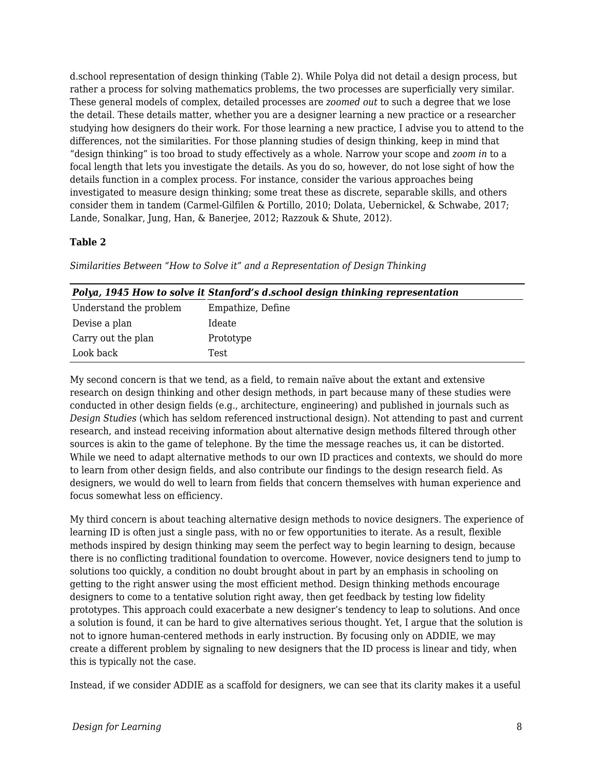d.school representation of design thinking (Table 2). While Polya did not detail a design process, but rather a process for solving mathematics problems, the two processes are superficially very similar. These general models of complex, detailed processes are *zoomed out* to such a degree that we lose the detail. These details matter, whether you are a designer learning a new practice or a researcher studying how designers do their work. For those learning a new practice, I advise you to attend to the differences, not the similarities. For those planning studies of design thinking, keep in mind that "design thinking" is too broad to study effectively as a whole. Narrow your scope and *zoom in* to a focal length that lets you investigate the details. As you do so, however, do not lose sight of how the details function in a complex process. For instance, consider the various approaches being investigated to measure design thinking; some treat these as discrete, separable skills, and others consider them in tandem (Carmel-Gilfilen & Portillo, 2010; Dolata, Uebernickel, & Schwabe, 2017; Lande, Sonalkar, Jung, Han, & Banerjee, 2012; Razzouk & Shute, 2012).

#### **Table 2**

*Similarities Between "How to Solve it" and a Representation of Design Thinking*

| Polya, 1945 How to solve it Stanford's d.school design thinking representation |
|--------------------------------------------------------------------------------|
| Empathize, Define                                                              |
| Ideate                                                                         |
| Prototype                                                                      |
| Test                                                                           |
|                                                                                |

My second concern is that we tend, as a field, to remain naïve about the extant and extensive research on design thinking and other design methods, in part because many of these studies were conducted in other design fields (e.g., architecture, engineering) and published in journals such as *Design Studies* (which has seldom referenced instructional design). Not attending to past and current research, and instead receiving information about alternative design methods filtered through other sources is akin to the game of telephone. By the time the message reaches us, it can be distorted. While we need to adapt alternative methods to our own ID practices and contexts, we should do more to learn from other design fields, and also contribute our findings to the design research field. As designers, we would do well to learn from fields that concern themselves with human experience and focus somewhat less on efficiency.

My third concern is about teaching alternative design methods to novice designers. The experience of learning ID is often just a single pass, with no or few opportunities to iterate. As a result, flexible methods inspired by design thinking may seem the perfect way to begin learning to design, because there is no conflicting traditional foundation to overcome. However, novice designers tend to jump to solutions too quickly, a condition no doubt brought about in part by an emphasis in schooling on getting to the right answer using the most efficient method. Design thinking methods encourage designers to come to a tentative solution right away, then get feedback by testing low fidelity prototypes. This approach could exacerbate a new designer's tendency to leap to solutions. And once a solution is found, it can be hard to give alternatives serious thought. Yet, I argue that the solution is not to ignore human-centered methods in early instruction. By focusing only on ADDIE, we may create a different problem by signaling to new designers that the ID process is linear and tidy, when this is typically not the case.

Instead, if we consider ADDIE as a scaffold for designers, we can see that its clarity makes it a useful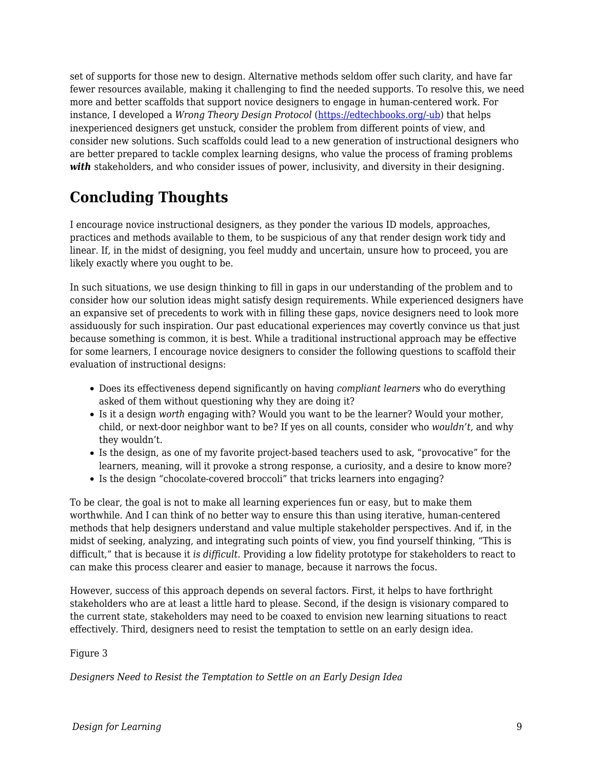set of supports for those new to design. Alternative methods seldom offer such clarity, and have far fewer resources available, making it challenging to find the needed supports. To resolve this, we need more and better scaffolds that support novice designers to engage in human-centered work. For instance, I developed a *Wrong Theory Design Protocol* [\(https://edtechbooks.org/-ub](https://sites.google.com/site/iddealab/lab-practices-and-protocols/wrong-theory-design-protocol)) that helps inexperienced designers get unstuck, consider the problem from different points of view, and consider new solutions. Such scaffolds could lead to a new generation of instructional designers who are better prepared to tackle complex learning designs, who value the process of framing problems *with* stakeholders, and who consider issues of power, inclusivity, and diversity in their designing.

## **Concluding Thoughts**

I encourage novice instructional designers, as they ponder the various ID models, approaches, practices and methods available to them, to be suspicious of any that render design work tidy and linear. If, in the midst of designing, you feel muddy and uncertain, unsure how to proceed, you are likely exactly where you ought to be.

In such situations, we use design thinking to fill in gaps in our understanding of the problem and to consider how our solution ideas might satisfy design requirements. While experienced designers have an expansive set of precedents to work with in filling these gaps, novice designers need to look more assiduously for such inspiration. Our past educational experiences may covertly convince us that just because something is common, it is best. While a traditional instructional approach may be effective for some learners, I encourage novice designers to consider the following questions to scaffold their evaluation of instructional designs:

- Does its effectiveness depend significantly on having *compliant learners* who do everything asked of them without questioning why they are doing it?
- Is it a design *worth* engaging with? Would you want to be the learner? Would your mother, child, or next-door neighbor want to be? If yes on all counts, consider who *wouldn't,* and why they wouldn't.
- Is the design, as one of my favorite project-based teachers used to ask, "provocative" for the learners, meaning, will it provoke a strong response, a curiosity, and a desire to know more?
- Is the design "chocolate-covered broccoli" that tricks learners into engaging?

To be clear, the goal is not to make all learning experiences fun or easy, but to make them worthwhile. And I can think of no better way to ensure this than using iterative, human-centered methods that help designers understand and value multiple stakeholder perspectives. And if, in the midst of seeking, analyzing, and integrating such points of view, you find yourself thinking, "This is difficult," that is because it *is difficult.* Providing a low fidelity prototype for stakeholders to react to can make this process clearer and easier to manage, because it narrows the focus.

However, success of this approach depends on several factors. First, it helps to have forthright stakeholders who are at least a little hard to please. Second, if the design is visionary compared to the current state, stakeholders may need to be coaxed to envision new learning situations to react effectively. Third, designers need to resist the temptation to settle on an early design idea.

#### Figure 3

*Designers Need to Resist the Temptation to Settle on an Early Design Idea*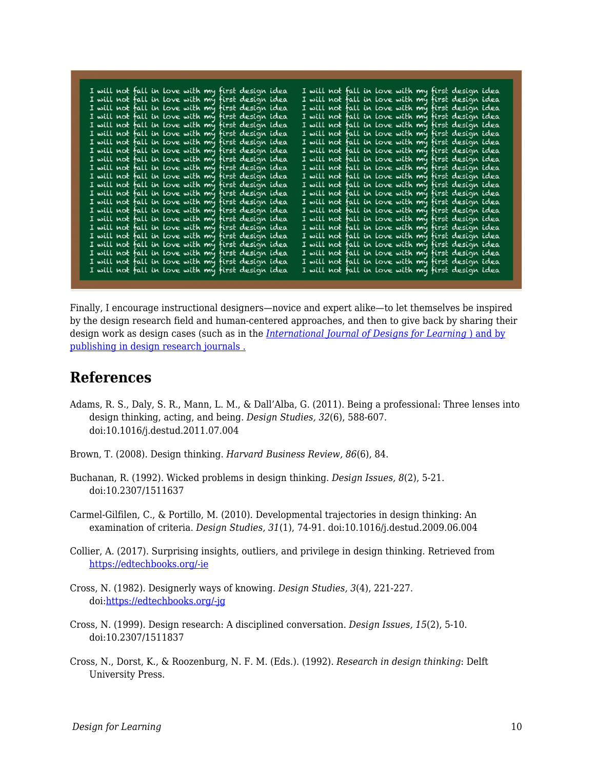| I will not fall in love with my first design idea |  |  |  |  |  |  |  |  | I will not fall in love with my first design idea |  |
|---------------------------------------------------|--|--|--|--|--|--|--|--|---------------------------------------------------|--|
| I will not fall in love with my first design idea |  |  |  |  |  |  |  |  | I will not fall in love with my first design idea |  |
| I will not fall in love with my first design idea |  |  |  |  |  |  |  |  | I will not fall in love with my first design idea |  |
| I will not fall in love with my first design idea |  |  |  |  |  |  |  |  | I will not fall in love with my first design idea |  |
| I will not fall in love with my first design idea |  |  |  |  |  |  |  |  | I will not fall in love with my first design idea |  |
| I will not fall in love with my first design idea |  |  |  |  |  |  |  |  | I will not fall in love with my first design idea |  |
| I will not fall in love with my first design idea |  |  |  |  |  |  |  |  | I will not fall in love with my first design idea |  |
| I will not fall in love with my first design idea |  |  |  |  |  |  |  |  | I will not fall in love with my first design idea |  |
| I will not fall in love with my first design idea |  |  |  |  |  |  |  |  | I will not fall in love with my first design idea |  |
| I will not fall in love with my first design idea |  |  |  |  |  |  |  |  | I will not fall in love with my first design idea |  |
| I will not fall in love with my first design idea |  |  |  |  |  |  |  |  | I will not fall in love with my first design idea |  |
| I will not fall in love with my first design idea |  |  |  |  |  |  |  |  | I will not fall in love with my first design idea |  |
| I will not fall in love with my first design idea |  |  |  |  |  |  |  |  | I will not fall in love with my first design idea |  |
| I will not fall in love with my first design idea |  |  |  |  |  |  |  |  | I will not fall in love with my first design idea |  |
| I will not fall in love with my first design idea |  |  |  |  |  |  |  |  | I will not fall in love with my first design idea |  |
| I will not fall in love with my first design idea |  |  |  |  |  |  |  |  | I will not fall in love with my first design idea |  |
| I will not fall in love with my first design idea |  |  |  |  |  |  |  |  | I will not fall in love with my first design idea |  |
| I will not fall in love with my first design idea |  |  |  |  |  |  |  |  | I will not fall in love with my first design idea |  |
| I will not fall in love with my first design idea |  |  |  |  |  |  |  |  | I will not fall in love with my first design idea |  |
| I will not fall in love with my first design idea |  |  |  |  |  |  |  |  | I will not fall in love with my first design idea |  |
|                                                   |  |  |  |  |  |  |  |  |                                                   |  |
| I will not fall in love with my first design idea |  |  |  |  |  |  |  |  | I will not fall in love with my first design idea |  |
| I will not fall in love with my first design idea |  |  |  |  |  |  |  |  | I will not fall in love with my first design idea |  |

Finally, I encourage instructional designers—novice and expert alike—to let themselves be inspired by the design research field and human-centered approaches, and then to give back by sharing their design work as design cases (such as in the *[International Journal of Designs for Learning](https://scholarworks.iu.edu/journals/index.php/ijdl)* [\) and by](https://scholarworks.iu.edu/journals/index.php/ijdl) [publishing in design research journals .](https://scholarworks.iu.edu/journals/index.php/ijdl)

## **References**

- Adams, R. S., Daly, S. R., Mann, L. M., & Dall'Alba, G. (2011). Being a professional: Three lenses into design thinking, acting, and being. *Design Studies, 32*(6), 588-607. doi:10.1016/j.destud.2011.07.004
- Brown, T. (2008). Design thinking. *Harvard Business Review, 86*(6), 84.
- Buchanan, R. (1992). Wicked problems in design thinking. *Design Issues, 8*(2), 5-21. doi:10.2307/1511637
- Carmel-Gilfilen, C., & Portillo, M. (2010). Developmental trajectories in design thinking: An examination of criteria. *Design Studies, 31*(1), 74-91. doi:10.1016/j.destud.2009.06.004
- Collier, A. (2017). Surprising insights, outliers, and privilege in design thinking. Retrieved from [https://edtechbooks.org/-ie](http://digitallearning.middcreate.net/reflections/surprising-insights-outliers-and-privilege-in-design-thinking/)
- Cross, N. (1982). Designerly ways of knowing. *Design Studies, 3*(4), 221-227. doi[:https://edtechbooks.org/-jg](https://doi.org/10.1016/0142-694X(82)90040-0)
- Cross, N. (1999). Design research: A disciplined conversation. *Design Issues, 15*(2), 5-10. doi:10.2307/1511837
- Cross, N., Dorst, K., & Roozenburg, N. F. M. (Eds.). (1992). *Research in design thinking*: Delft University Press.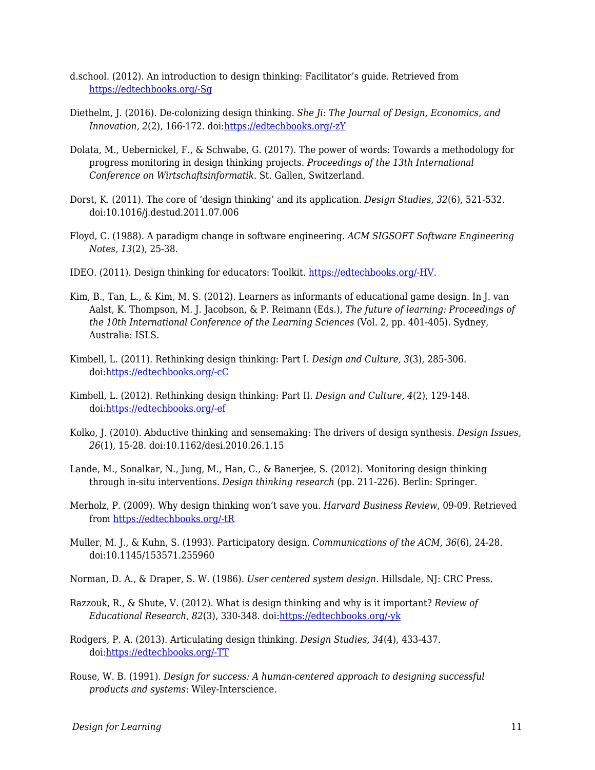- d.school. (2012). An introduction to design thinking: Facilitator's guide. Retrieved from [https://edtechbooks.org/-Sg](https://static1.squarespace.com/static/57c6b79629687fde090a0fdd/t/58ac891ae4fcb50f1fb2f1ab/1487702304601/Facilitator%27s+Guide_Design+Thinking.pdf)
- Diethelm, J. (2016). De-colonizing design thinking. *She Ji: The Journal of Design, Economics, and Innovation, 2*(2), 166-172. doi:[https://edtechbooks.org/-zY](https://doi.org/10.1016/j.sheji.2016.08.001)
- Dolata, M., Uebernickel, F., & Schwabe, G. (2017). The power of words: Towards a methodology for progress monitoring in design thinking projects. *Proceedings of the 13th International Conference on Wirtschaftsinformatik*. St. Gallen, Switzerland.
- Dorst, K. (2011). The core of 'design thinking' and its application. *Design Studies, 32*(6), 521-532. doi:10.1016/j.destud.2011.07.006
- Floyd, C. (1988). A paradigm change in software engineering. *ACM SIGSOFT Software Engineering Notes, 13*(2), 25-38.
- IDEO. (2011). Design thinking for educators: Toolkit. [https://edtechbooks.org/-HV](http://designthinkingforeducators.com/DTtoolkit_v1_062711.pdf).
- Kim, B., Tan, L., & Kim, M. S. (2012). Learners as informants of educational game design. In J. van Aalst, K. Thompson, M. J. Jacobson, & P. Reimann (Eds.), *The future of learning: Proceedings of the 10th International Conference of the Learning Sciences* (Vol. 2, pp. 401-405). Sydney, Australia: ISLS.
- Kimbell, L. (2011). Rethinking design thinking: Part I. *Design and Culture, 3*(3), 285-306. doi[:https://edtechbooks.org/-cC](http://dx.doi.org/10.2752/175470811X13071166525216)
- Kimbell, L. (2012). Rethinking design thinking: Part II. *Design and Culture, 4*(2), 129-148. doi[:https://edtechbooks.org/-ef](http://dx.doi.org/10.2752/175470812X13281948975413)
- Kolko, J. (2010). Abductive thinking and sensemaking: The drivers of design synthesis. *Design Issues, 26*(1), 15-28. doi:10.1162/desi.2010.26.1.15
- Lande, M., Sonalkar, N., Jung, M., Han, C., & Banerjee, S. (2012). Monitoring design thinking through in-situ interventions. *Design thinking research* (pp. 211-226). Berlin: Springer.
- Merholz, P. (2009). Why design thinking won't save you. *Harvard Business Review*, 09-09. Retrieved from [https://edtechbooks.org/-tR](https://hbr.org/2009/10/why-design-thinking-wont-save.html)
- Muller, M. J., & Kuhn, S. (1993). Participatory design. *Communications of the ACM, 36*(6), 24-28. doi:10.1145/153571.255960
- Norman, D. A., & Draper, S. W. (1986). *User centered system design*. Hillsdale, NJ: CRC Press.
- Razzouk, R., & Shute, V. (2012). What is design thinking and why is it important? *Review of Educational Research, 82*(3), 330-348. doi:[https://edtechbooks.org/-yk](https://doi.org/10.3102/0034654312457429)
- Rodgers, P. A. (2013). Articulating design thinking. *Design Studies, 34*(4), 433-437. doi[:https://edtechbooks.org/-TT](http://dx.doi.org/10.1016/j.destud.2013.01.003)
- Rouse, W. B. (1991). *Design for success: A human-centered approach to designing successful products and systems*: Wiley-Interscience.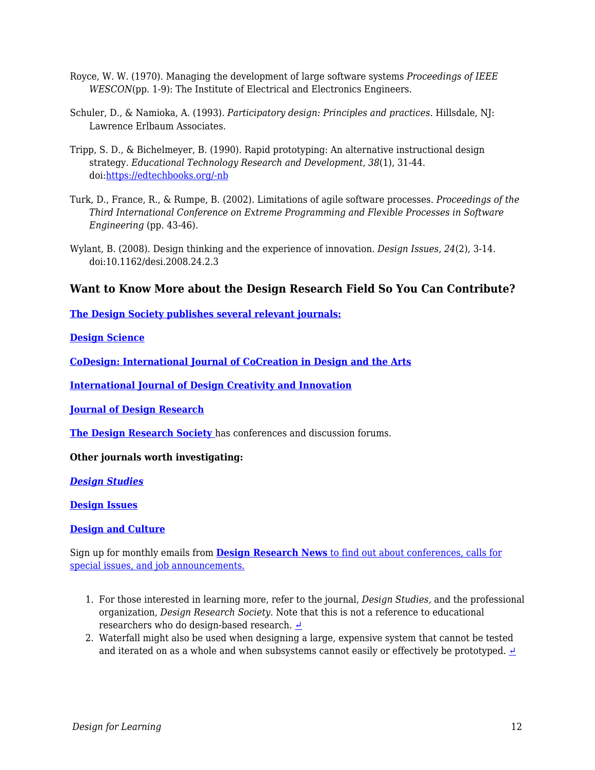- Royce, W. W. (1970). Managing the development of large software systems *Proceedings of IEEE WESCON*(pp. 1-9): The Institute of Electrical and Electronics Engineers.
- Schuler, D., & Namioka, A. (1993). *Participatory design: Principles and practices*. Hillsdale, NJ: Lawrence Erlbaum Associates.
- Tripp, S. D., & Bichelmeyer, B. (1990). Rapid prototyping: An alternative instructional design strategy. *Educational Technology Research and Development, 38*(1), 31-44. doi[:https://edtechbooks.org/-nb](https://doi.org/10.1007/BF02298246)
- Turk, D., France, R., & Rumpe, B. (2002). Limitations of agile software processes. *Proceedings of the Third International Conference on Extreme Programming and Flexible Processes in Software Engineering* (pp. 43-46).
- Wylant, B. (2008). Design thinking and the experience of innovation. *Design Issues, 24*(2), 3-14. doi:10.1162/desi.2008.24.2.3

### **Want to Know More about the Design Research Field So You Can Contribute?**

**[The Design Society publishes several relevant journals:](https://www.designsociety.org/)**

**[Design Science](https://www.cambridge.org/core/journals/design-science)**

**[CoDesign: International Journal of CoCreation in Design and the Arts](http://www.tandfonline.com/loi/ncdn20)**

**[International Journal of Design Creativity and Innovation](http://www.tandfonline.com/toc/tdci20/current)**

**[Journal of Design Research](http://www.inderscience.com/jhome.php?jcode=jdr#submission)**

**[The Design Research Society](https://www.designresearchsociety.org/)** has conferences and discussion forums.

#### **Other journals worth investigating:**

*[Design Studies](https://www.journals.elsevier.com/design-studies)*

**[Design Issues](http://www.mitpressjournals.org/forthcoming/desi)**

**[Design and Culture](http://www.tandfonline.com/loi/rfdc20)**

Sign up for monthly emails from **[Design Research News](https://www.designresearchsociety.org/cpages/home)** [to find out about conferences, calls for](https://www.designresearchsociety.org/cpages/home) [special issues, and job announcements.](https://www.designresearchsociety.org/cpages/home)

- 1. For those interested in learning more, refer to the journal, *Design Studies,* and the professional organization, *Design Research Society.* Note that this is not a reference to educational researchers who do design-based research. <del>○</del>
- 2. Waterfall might also be used when designing a large, expensive system that cannot be tested and iterated on as a whole and when subsystems cannot easily or effectively be prototyped.  $\triangle$